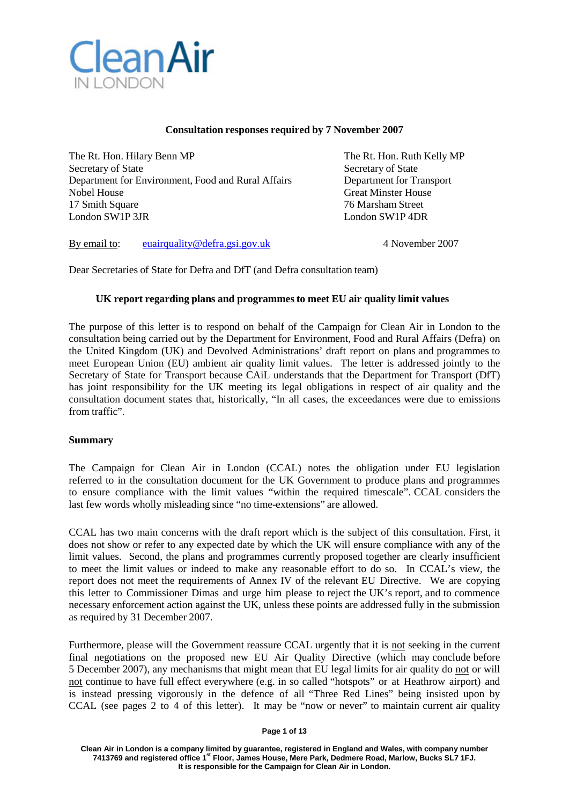

### **Consultation responses required by 7 November 2007**

The Rt. Hon. Hilary Benn MP The Rt. Hon. Ruth Kelly MP Secretary of State Secretary of State Secretary of State Secretary of State Secretary of State Secretary of State Secretary of State Secretary of State Secretary of State Secretary of State Secretary of State Secretary of Department for Environment, Food and Rural Affairs Department for Transport Nobel House Great Minster House Great Minster House 17 Smith Square 76 Marsham Street<br>
London SW1P 3JR<br>
London SW1P 4DR

London SW1P 4DR

By email to: [euairquality@defra.gsi.gov.uk](mailto:euairquality@defra.gsi.gov.uk) 4 November 2007

Dear Secretaries of State for Defra and DfT (and Defra consultation team)

### **UK report regarding plans and programmesto meet EU air quality limit values**

The purpose of this letter is to respond on behalf of the Campaign for Clean Air in London to the consultation being carried out by the Department for Environment, Food and Rural Affairs (Defra) on the United Kingdom (UK) and Devolved Administrations' draft report on plans and programmes to meet European Union (EU) ambient air quality limit values. The letter is addressed jointly to the Secretary of State for Transport because CAiL understands that the Department for Transport (DfT) has joint responsibility for the UK meeting its legal obligations in respect of air quality and the consultation document states that, historically, "In all cases, the exceedances were due to emissions from traffic".

#### **Summary**

The Campaign for Clean Air in London (CCAL) notes the obligation under EU legislation referred to in the consultation document for the UK Government to produce plans and programmes to ensure compliance with the limit values "within the required timescale". CCAL considers the last few words wholly misleading since "no time-extensions" are allowed.

CCAL has two main concerns with the draft report which is the subject of this consultation. First, it does not show or refer to any expected date by which the UK will ensure compliance with any of the limit values. Second, the plans and programmes currently proposed together are clearly insufficient to meet the limit values or indeed to make any reasonable effort to do so. In CCAL's view, the report does not meet the requirements of Annex IV of the relevant EU Directive. We are copying this letter to Commissioner Dimas and urge him please to reject the UK's report, and to commence necessary enforcement action against the UK, unless these points are addressed fully in the submission as required by 31 December 2007.

Furthermore, please will the Government reassure CCAL urgently that it is not seeking in the current final negotiations on the proposed new EU Air Quality Directive (which may conclude before 5 December 2007), any mechanisms that might mean that EU legal limits for air quality do not or will not continue to have full effect everywhere (e.g. in so called "hotspots" or at Heathrow airport) and is instead pressing vigorously in the defence of all "Three Red Lines" being insisted upon by CCAL (see pages 2 to 4 of this letter). It may be "now or never" to maintain current air quality

**Page 1 of 13**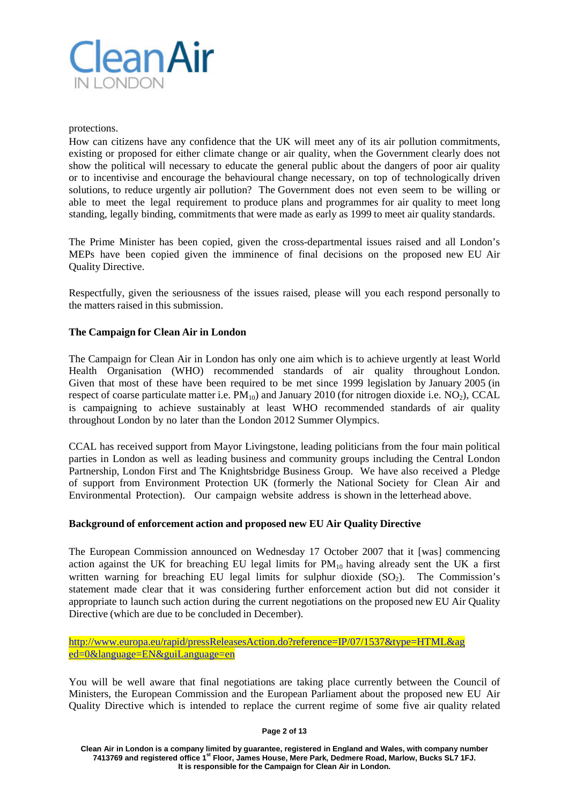

protections.

How can citizens have any confidence that the UK will meet any of its air pollution commitments, existing or proposed for either climate change or air quality, when the Government clearly does not show the political will necessary to educate the general public about the dangers of poor air quality or to incentivise and encourage the behavioural change necessary, on top of technologically driven solutions, to reduce urgently air pollution? The Government does not even seem to be willing or able to meet the legal requirement to produce plans and programmes for air quality to meet long standing, legally binding, commitments that were made as early as 1999 to meet air quality standards.

The Prime Minister has been copied, given the cross-departmental issues raised and all London's MEPs have been copied given the imminence of final decisions on the proposed new EU Air Quality Directive.

Respectfully, given the seriousness of the issues raised, please will you each respond personally to the matters raised in this submission.

# **The Campaign for Clean Air in London**

The Campaign for Clean Air in London has only one aim which is to achieve urgently at least World Health Organisation (WHO) recommended standards of air quality throughout London. Given that most of these have been required to be met since 1999 legislation by January 2005 (in respect of coarse particulate matter i.e.  $PM_{10}$ ) and January 2010 (for nitrogen dioxide i.e.  $NO_2$ ), CCAL is campaigning to achieve sustainably at least WHO recommended standards of air quality throughout London by no later than the London 2012 Summer Olympics.

CCAL has received support from Mayor Livingstone, leading politicians from the four main political parties in London as well as leading business and community groups including the Central London Partnership, London First and The Knightsbridge Business Group. We have also received a Pledge of support from Environment Protection UK (formerly the National Society for Clean Air and Environmental Protection). Our campaign website address is shown in the letterhead above.

## **Background of enforcement action and proposed new EU Air Quality Directive**

The European Commission announced on Wednesday 17 October 2007 that it [was] commencing action against the UK for breaching EU legal limits for  $PM_{10}$  having already sent the UK a first written warning for breaching EU legal limits for sulphur dioxide  $(SO<sub>2</sub>)$ . The Commission's statement made clear that it was considering further enforcement action but did not consider it appropriate to launch such action during the current negotiations on the proposed new EU Air Quality Directive (which are due to be concluded in December).

http://www.europa.eu/rapid/pressReleasesAction.do?reference=IP/07/1537&type=HTML&ag ed=0&language=EN&guiLanguage=en

You will be well aware that final negotiations are taking place currently between the Council of Ministers, the European Commission and the European Parliament about the proposed new EU Air Quality Directive which is intended to replace the current regime of some five air quality related

**Page 2 of 13**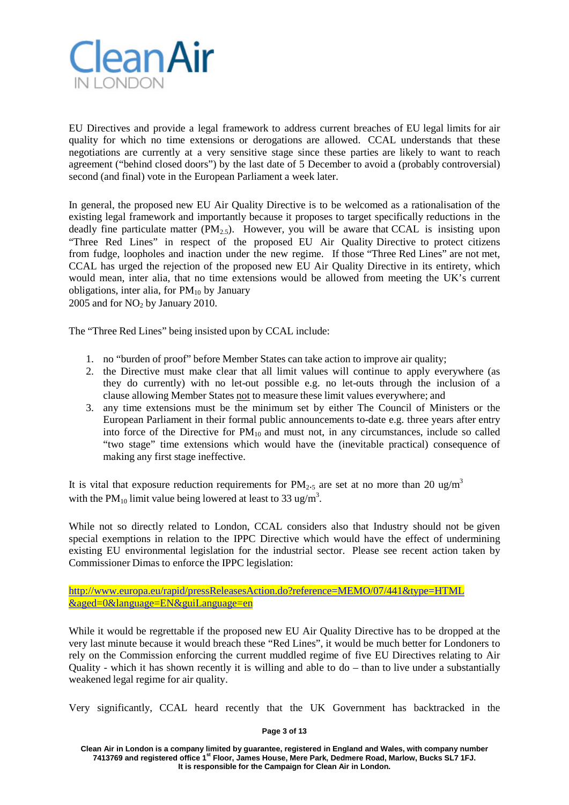

EU Directives and provide a legal framework to address current breaches of EU legal limits for air quality for which no time extensions or derogations are allowed. CCAL understands that these negotiations are currently at a very sensitive stage since these parties are likely to want to reach agreement ("behind closed doors") by the last date of 5 December to avoid a (probably controversial) second (and final) vote in the European Parliament a week later.

In general, the proposed new EU Air Quality Directive is to be welcomed as a rationalisation of the existing legal framework and importantly because it proposes to target specifically reductions in the deadly fine particulate matter (PM<sub>2.5</sub>). However, you will be aware that CCAL is insisting upon "Three Red Lines" in respect of the proposed EU Air Quality Directive to protect citizens from fudge, loopholes and inaction under the new regime. If those "Three Red Lines" are not met, CCAL has urged the rejection of the proposed new EU Air Quality Directive in its entirety, which would mean, inter alia, that no time extensions would be allowed from meeting the UK's current obligations, inter alia, for  $PM_{10}$  by January

 $2005$  and for NO<sub>2</sub> by January 2010.

The "Three Red Lines" being insisted upon by CCAL include:

- 1. no "burden of proof" before Member States can take action to improve air quality;
- 2. the Directive must make clear that all limit values will continue to apply everywhere (as they do currently) with no let-out possible e.g. no let-outs through the inclusion of a clause allowing Member States not to measure these limit values everywhere; and
- 3. any time extensions must be the minimum set by either The Council of Ministers or the European Parliament in their formal public announcements to-date e.g. three years after entry into force of the Directive for  $PM_{10}$  and must not, in any circumstances, include so called "two stage" time extensions which would have the (inevitable practical) consequence of making any first stage ineffective.

It is vital that exposure reduction requirements for  $PM_{2.5}$  are set at no more than 20 ug/m<sup>3</sup> with the PM<sub>10</sub> limit value being lowered at least to 33 ug/m<sup>3</sup>.

While not so directly related to London, CCAL considers also that Industry should not be given special exemptions in relation to the IPPC Directive which would have the effect of undermining existing EU environmental legislation for the industrial sector. Please see recent action taken by Commissioner Dimas to enforce the IPPC legislation:

http://www.europa.eu/rapid/pressReleasesAction.do?reference=MEMO/07/441&type=HTML &aged=0&language=EN&guiLanguage=en

While it would be regrettable if the proposed new EU Air Quality Directive has to be dropped at the very last minute because it would breach these "Red Lines", it would be much better for Londoners to rely on the Commission enforcing the current muddled regime of five EU Directives relating to Air Quality - which it has shown recently it is willing and able to do – than to live under a substantially weakened legal regime for air quality.

Very significantly, CCAL heard recently that the UK Government has backtracked in the

#### **Page 3 of 13**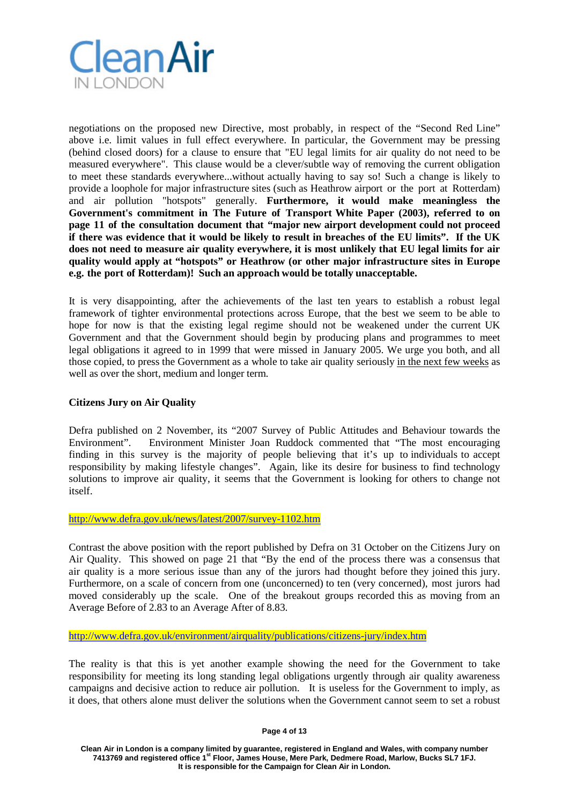

negotiations on the proposed new Directive, most probably, in respect of the "Second Red Line" above i.e. limit values in full effect everywhere. In particular, the Government may be pressing (behind closed doors) for a clause to ensure that "EU legal limits for air quality do not need to be measured everywhere". This clause would be a clever/subtle way of removing the current obligation to meet these standards everywhere...without actually having to say so! Such a change is likely to provide a loophole for major infrastructure sites (such as Heathrow airport or the port at Rotterdam) and air pollution "hotspots" generally. **Furthermore, it would make meaningless the Government's commitment in The Future of Transport White Paper (2003), referred to on page 11 of the consultation document that "major new airport development could not proceed if there was evidence that it would be likely to result in breaches of the EU limits". If the UK does not need to measure air quality everywhere, it is most unlikely that EU legal limits for air quality would apply at "hotspots" or Heathrow (or other major infrastructure sites in Europe e.g. the port of Rotterdam)! Such an approach would be totally unacceptable.**

It is very disappointing, after the achievements of the last ten years to establish a robust legal framework of tighter environmental protections across Europe, that the best we seem to be able to hope for now is that the existing legal regime should not be weakened under the current UK Government and that the Government should begin by producing plans and programmes to meet legal obligations it agreed to in 1999 that were missed in January 2005. We urge you both, and all those copied, to press the Government as a whole to take air quality seriously in the next few weeks as well as over the short, medium and longer term.

## **Citizens Jury on Air Quality**

Defra published on 2 November, its "2007 Survey of Public Attitudes and Behaviour towards the Environment". Environment Minister Joan Ruddock commented that "The most encouraging finding in this survey is the majority of people believing that it's up to individuals to accept responsibility by making lifestyle changes". Again, like its desire for business to find technology solutions to improve air quality, it seems that the Government is looking for others to change not itself.

## <http://www.defra.gov.uk/news/latest/2007/survey-1102.htm>

Contrast the above position with the report published by Defra on 31 October on the Citizens Jury on Air Quality. This showed on page 21 that "By the end of the process there was a consensus that air quality is a more serious issue than any of the jurors had thought before they joined this jury. Furthermore, on a scale of concern from one (unconcerned) to ten (very concerned), most jurors had moved considerably up the scale. One of the breakout groups recorded this as moving from an Average Before of 2.83 to an Average After of 8.83.

<http://www.defra.gov.uk/environment/airquality/publications/citizens-jury/index.htm>

The reality is that this is yet another example showing the need for the Government to take responsibility for meeting its long standing legal obligations urgently through air quality awareness campaigns and decisive action to reduce air pollution. It is useless for the Government to imply, as it does, that others alone must deliver the solutions when the Government cannot seem to set a robust

**Page 4 of 13**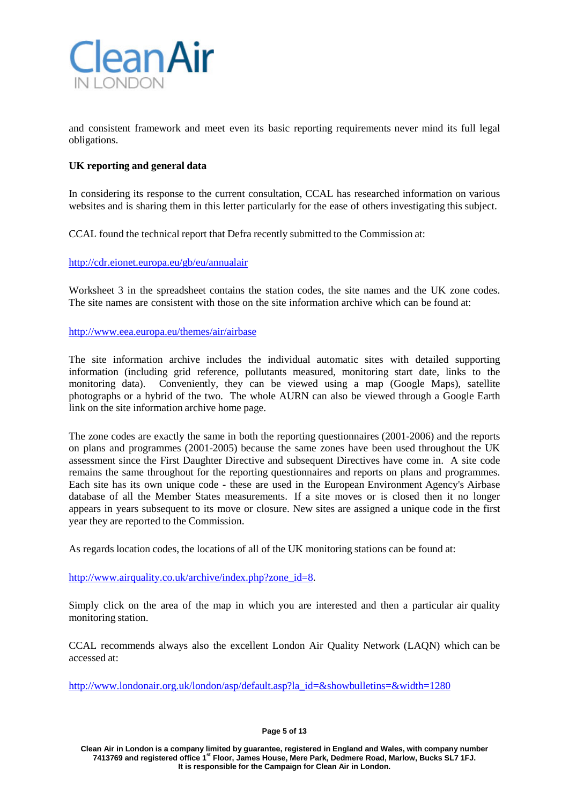

and consistent framework and meet even its basic reporting requirements never mind its full legal obligations.

## **UK reporting and general data**

In considering its response to the current consultation, CCAL has researched information on various websites and is sharing them in this letter particularly for the ease of others investigating this subject.

CCAL found the technical report that Defra recently submitted to the Commission at:

<http://cdr.eionet.europa.eu/gb/eu/annualair>

Worksheet 3 in the spreadsheet contains the station codes, the site names and the UK zone codes. The site names are consistent with those on the site information archive which can be found at:

### <http://www.eea.europa.eu/themes/air/airbase>

The site information archive includes the individual automatic sites with detailed supporting information (including grid reference, pollutants measured, monitoring start date, links to the monitoring data). Conveniently, they can be viewed using a map (Google Maps), satellite photographs or a hybrid of the two. The whole AURN can also be viewed through a Google Earth link on the site information archive home page.

The zone codes are exactly the same in both the reporting questionnaires (2001-2006) and the reports on plans and programmes (2001-2005) because the same zones have been used throughout the UK assessment since the First Daughter Directive and subsequent Directives have come in. A site code remains the same throughout for the reporting questionnaires and reports on plans and programmes. Each site has its own unique code - these are used in the European Environment Agency's Airbase database of all the Member States measurements. If a site moves or is closed then it no longer appears in years subsequent to its move or closure. New sites are assigned a unique code in the first year they are reported to the Commission.

As regards location codes, the locations of all of the UK monitoring stations can be found at:

[http://www.airquality.co.uk/archive/index.php?zone\\_id=8.](http://www.airquality.co.uk/archive/index.php?zone_id=8)

Simply click on the area of the map in which you are interested and then a particular air quality monitoring station.

CCAL recommends always also the excellent London Air Quality Network (LAQN) which can be accessed at:

[http://www.londonair.org.uk/london/asp/default.asp?la\\_id=&showbulletins=&width=1280](http://www.londonair.org.uk/london/asp/default.asp?la_id&showbulletins&width=1280)

**Page 5 of 13**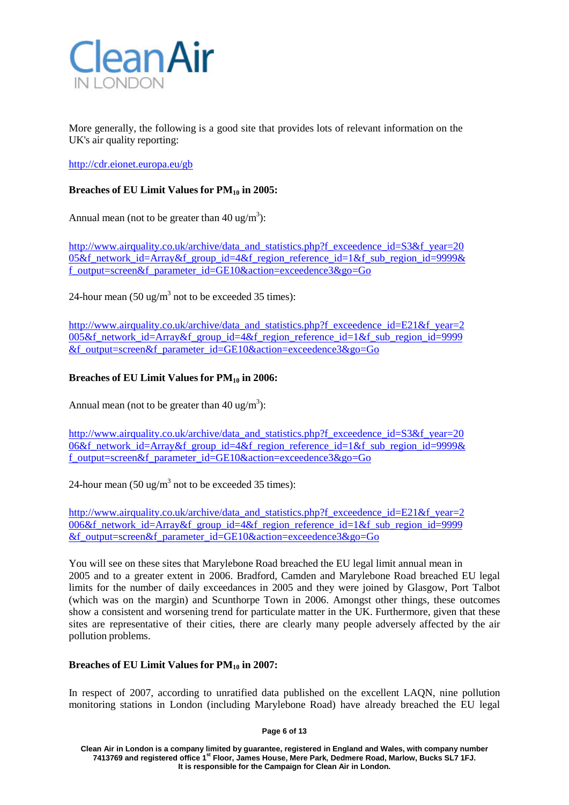

More generally, the following is a good site that provides lots of relevant information on the UK's air quality reporting:

<http://cdr.eionet.europa.eu/gb>

# **Breaches of EU Limit Values for PM10 in 2005:**

Annual mean (not to be greater than  $40 \text{ ug/m}^3$ ):

[http://www.airquality.co.uk/archive/data\\_and\\_statistics.php?f\\_exceedence\\_id=S3&f\\_year=20](http://www.airquality.co.uk/archive/data_and_statistics.php?f_exceedence_id=S3&f_year=20) 05&f\_network\_id=Array&f\_group\_id=4&f\_region\_reference\_id=1&f\_sub\_region\_id=9999& f\_output=screen&f\_parameter\_id=GE10&action=exceedence3&go=Go

24-hour mean  $(50 \text{ ug/m}^3 \text{ not to be exceeded } 35 \text{ times})$ :

[http://www.airquality.co.uk/archive/data\\_and\\_statistics.php?f\\_exceedence\\_id=E21&f\\_year=2](http://www.airquality.co.uk/archive/data_and_statistics.php?f_exceedence_id=E21&f_year=2) 005&f\_network\_id=Array&f\_group\_id=4&f\_region\_reference\_id=1&f\_sub\_region\_id=9999 &f\_output=screen&f\_parameter\_id=GE10&action=exceedence3&go=Go

# **Breaches of EU Limit Values for PM10 in 2006:**

Annual mean (not to be greater than  $40 \text{ ug/m}^3$ ):

[http://www.airquality.co.uk/archive/data\\_and\\_statistics.php?f\\_exceedence\\_id=S3&f\\_year=20](http://www.airquality.co.uk/archive/data_and_statistics.php?f_exceedence_id=S3&f_year=20) 06&f network id=Array&f group id=4&f region reference id=1&f sub region id=9999& f\_output=screen&f\_parameter\_id=GE10&action=exceedence3&go=Go

24-hour mean  $(50 \text{ ug/m}^3 \text{ not to be exceeded } 35 \text{ times})$ :

[http://www.airquality.co.uk/archive/data\\_and\\_statistics.php?f\\_exceedence\\_id=E21&f\\_year=2](http://www.airquality.co.uk/archive/data_and_statistics.php?f_exceedence_id=E21&f_year=2) 006&f\_network\_id=Array&f\_group\_id=4&f\_region\_reference\_id=1&f\_sub\_region\_id=9999 &f\_output=screen&f\_parameter\_id=GE10&action=exceedence3&go=Go

You will see on these sites that Marylebone Road breached the EU legal limit annual mean in 2005 and to a greater extent in 2006. Bradford, Camden and Marylebone Road breached EU legal limits for the number of daily exceedances in 2005 and they were joined by Glasgow, Port Talbot (which was on the margin) and Scunthorpe Town in 2006. Amongst other things, these outcomes show a consistent and worsening trend for particulate matter in the UK. Furthermore, given that these sites are representative of their cities, there are clearly many people adversely affected by the air pollution problems.

## **Breaches of EU Limit Values for PM10 in 2007:**

In respect of 2007, according to unratified data published on the excellent LAQN, nine pollution monitoring stations in London (including Marylebone Road) have already breached the EU legal

**Page 6 of 13**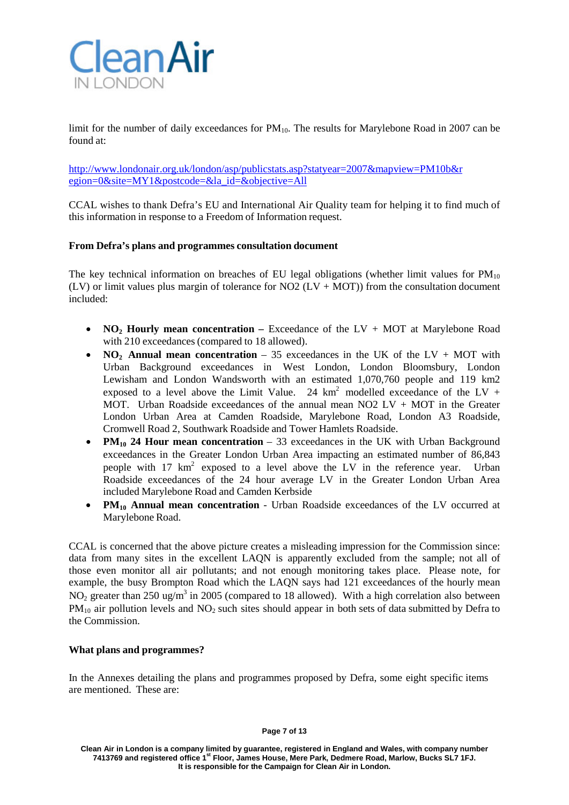

limit for the number of daily exceedances for  $PM_{10}$ . The results for Marylebone Road in 2007 can be found at:

<http://www.londonair.org.uk/london/asp/publicstats.asp?statyear=2007&mapview=PM10b&r> egion=0&site=MY1&postcode=&la\_id=&objective=All

CCAL wishes to thank Defra's EU and International Air Quality team for helping it to find much of this information in response to a Freedom of Information request.

### **From Defra's plans and programmes consultation document**

The key technical information on breaches of EU legal obligations (whether limit values for  $PM_{10}$ ) (LV) or limit values plus margin of tolerance for NO2 (LV + MOT)) from the consultation document included:

- **NO2 Hourly mean concentration –** Exceedance of the LV + MOT at Marylebone Road with 210 exceedances (compared to 18 allowed).
- **NO<sub>2</sub>** Annual mean concentration 35 exceedances in the UK of the LV + MOT with Urban Background exceedances in West London, London Bloomsbury, London Lewisham and London Wandsworth with an estimated 1,070,760 people and 119 km2 exposed to a level above the Limit Value. 24  $km^2$  modelled exceedance of the LV + MOT. Urban Roadside exceedances of the annual mean NO2 LV + MOT in the Greater London Urban Area at Camden Roadside, Marylebone Road, London A3 Roadside, Cromwell Road 2, Southwark Roadside and Tower Hamlets Roadside.
- **PM<sub>10</sub> 24 Hour mean concentration** 33 exceedances in the UK with Urban Background exceedances in the Greater London Urban Area impacting an estimated number of 86,843 people with 17 km<sup>2</sup> exposed to a level above the LV in the reference year. Urban Roadside exceedances of the 24 hour average LV in the Greater London Urban Area included Marylebone Road and Camden Kerbside
- **PM<sub>10</sub> Annual mean concentration** Urban Roadside exceedances of the LV occurred at Marylebone Road.

CCAL is concerned that the above picture creates a misleading impression for the Commission since: data from many sites in the excellent LAQN is apparently excluded from the sample; not all of those even monitor all air pollutants; and not enough monitoring takes place. Please note, for example, the busy Brompton Road which the LAQN says had 121 exceedances of the hourly mean NO<sub>2</sub> greater than 250 ug/m<sup>3</sup> in 2005 (compared to 18 allowed). With a high correlation also between  $PM_{10}$  air pollution levels and  $NO_2$  such sites should appear in both sets of data submitted by Defra to the Commission.

#### **What plans and programmes?**

In the Annexes detailing the plans and programmes proposed by Defra, some eight specific items are mentioned. These are: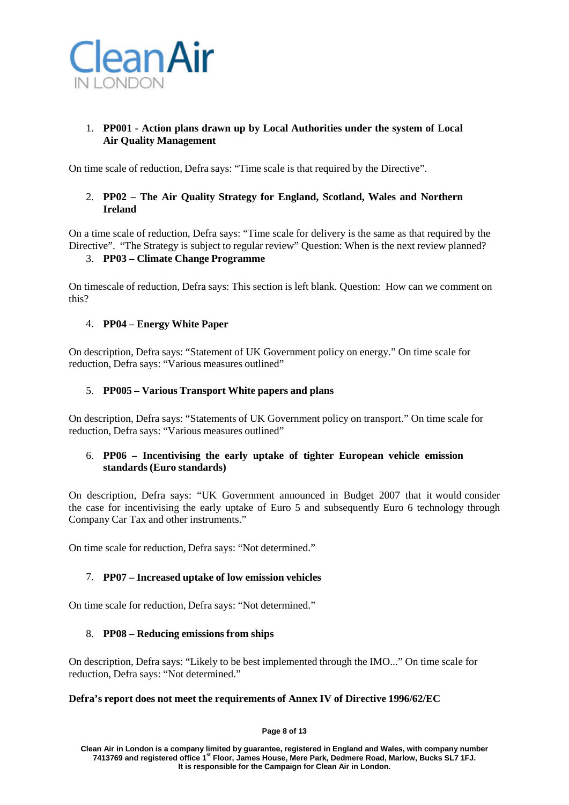

# 1. **PP001 - Action plans drawn up by Local Authorities under the system of Local Air Quality Management**

On time scale of reduction, Defra says: "Time scale is that required by the Directive".

# 2. **PP02 – The Air Quality Strategy for England, Scotland, Wales and Northern Ireland**

On a time scale of reduction, Defra says: "Time scale for delivery is the same as that required by the Directive". "The Strategy is subject to regular review" Question: When is the next review planned?

# 3. **PP03 – Climate Change Programme**

On timescale of reduction, Defra says: This section is left blank. Question: How can we comment on this?

# 4. **PP04 – Energy White Paper**

On description, Defra says: "Statement of UK Government policy on energy." On time scale for reduction, Defra says: "Various measures outlined"

# 5. **PP005 – Various Transport White papers and plans**

On description, Defra says: "Statements of UK Government policy on transport." On time scale for reduction, Defra says: "Various measures outlined"

# 6. **PP06 – Incentivising the early uptake of tighter European vehicle emission standards (Euro standards)**

On description, Defra says: "UK Government announced in Budget 2007 that it would consider the case for incentivising the early uptake of Euro 5 and subsequently Euro 6 technology through Company Car Tax and other instruments."

On time scale for reduction, Defra says: "Not determined."

# 7. **PP07 – Increased uptake of low emission vehicles**

On time scale for reduction, Defra says: "Not determined."

## 8. **PP08 – Reducing emissions from ships**

On description, Defra says: "Likely to be best implemented through the IMO..." On time scale for reduction, Defra says: "Not determined."

## **Defra's report does not meet the requirements of Annex IV of Directive 1996/62/EC**

**Page 8 of 13**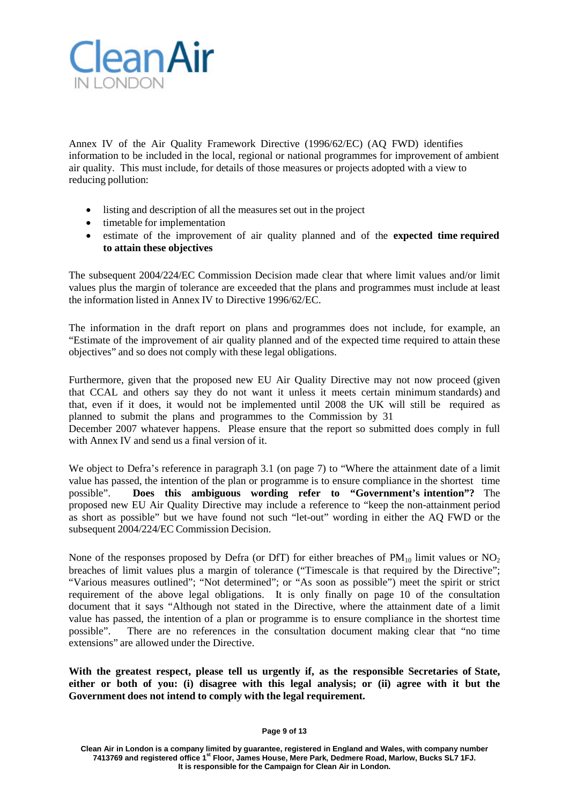

Annex IV of the Air Quality Framework Directive (1996/62/EC) (AQ FWD) identifies information to be included in the local, regional or national programmes for improvement of ambient air quality. This must include, for details of those measures or projects adopted with a view to reducing pollution:

- listing and description of all the measures set out in the project
- timetable for implementation
- estimate of the improvement of air quality planned and of the **expected time required to attain these objectives**

The subsequent 2004/224/EC Commission Decision made clear that where limit values and/or limit values plus the margin of tolerance are exceeded that the plans and programmes must include at least the information listed in Annex IV to Directive 1996/62/EC.

The information in the draft report on plans and programmes does not include, for example, an "Estimate of the improvement of air quality planned and of the expected time required to attain these objectives" and so does not comply with these legal obligations.

Furthermore, given that the proposed new EU Air Quality Directive may not now proceed (given that CCAL and others say they do not want it unless it meets certain minimum standards) and that, even if it does, it would not be implemented until 2008 the UK will still be required as planned to submit the plans and programmes to the Commission by 31

December 2007 whatever happens. Please ensure that the report so submitted does comply in full with Annex IV and send us a final version of it.

We object to Defra's reference in paragraph 3.1 (on page 7) to "Where the attainment date of a limit value has passed, the intention of the plan or programme is to ensure compliance in the shortest time possible". **Does this ambiguous wording refer to "Government's intention"?** The proposed new EU Air Quality Directive may include a reference to "keep the non-attainment period as short as possible" but we have found not such "let-out" wording in either the AQ FWD or the subsequent 2004/224/EC Commission Decision.

None of the responses proposed by Defra (or DfT) for either breaches of  $PM_{10}$  limit values or  $NO<sub>2</sub>$ breaches of limit values plus a margin of tolerance ("Timescale is that required by the Directive"; "Various measures outlined"; "Not determined"; or "As soon as possible") meet the spirit or strict requirement of the above legal obligations. It is only finally on page 10 of the consultation document that it says "Although not stated in the Directive, where the attainment date of a limit value has passed, the intention of a plan or programme is to ensure compliance in the shortest time possible". There are no references in the consultation document making clear that "no time extensions" are allowed under the Directive.

**With the greatest respect, please tell us urgently if, as the responsible Secretaries of State, either or both of you: (i) disagree with this legal analysis; or (ii) agree with it but the Government does not intend to comply with the legal requirement.**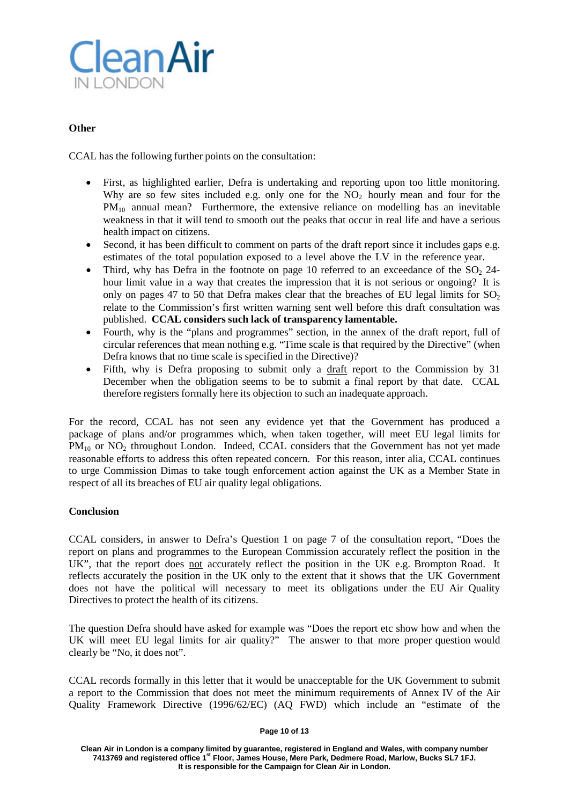

# **Other**

CCAL has the following further points on the consultation:

- First, as highlighted earlier, Defra is undertaking and reporting upon too little monitoring. Why are so few sites included e.g. only one for the  $NO<sub>2</sub>$  hourly mean and four for the PM10 annual mean? Furthermore, the extensive reliance on modelling has an inevitable weakness in that it will tend to smooth out the peaks that occur in real life and have a serious health impact on citizens.
- Second, it has been difficult to comment on parts of the draft report since it includes gaps e.g. estimates of the total population exposed to a level above the LV in the reference year.
- Third, why has Defra in the footnote on page 10 referred to an exceedance of the  $SO<sub>2</sub>$  24hour limit value in a way that creates the impression that it is not serious or ongoing? It is only on pages 47 to 50 that Defra makes clear that the breaches of EU legal limits for  $SO_2$ relate to the Commission's first written warning sent well before this draft consultation was published. **CCAL considers such lack of transparency lamentable.**
- Fourth, why is the "plans and programmes" section, in the annex of the draft report, full of circular references that mean nothing e.g. "Time scale is that required by the Directive" (when Defra knows that no time scale is specified in the Directive)?
- Fifth, why is Defra proposing to submit only a draft report to the Commission by 31 December when the obligation seems to be to submit a final report by that date. CCAL therefore registers formally here its objection to such an inadequate approach.

For the record, CCAL has not seen any evidence yet that the Government has produced a package of plans and/or programmes which, when taken together, will meet EU legal limits for  $PM_{10}$  or  $NO<sub>2</sub>$  throughout London. Indeed, CCAL considers that the Government has not yet made reasonable efforts to address this often repeated concern. For this reason, inter alia, CCAL continues to urge Commission Dimas to take tough enforcement action against the UK as a Member State in respect of all its breaches of EU air quality legal obligations.

## **Conclusion**

CCAL considers, in answer to Defra's Question 1 on page 7 of the consultation report, "Does the report on plans and programmes to the European Commission accurately reflect the position in the UK", that the report does not accurately reflect the position in the UK e.g. Brompton Road. It reflects accurately the position in the UK only to the extent that it shows that the UK Government does not have the political will necessary to meet its obligations under the EU Air Quality Directives to protect the health of its citizens.

The question Defra should have asked for example was "Does the report etc show how and when the UK will meet EU legal limits for air quality?" The answer to that more proper question would clearly be "No, it does not".

CCAL records formally in this letter that it would be unacceptable for the UK Government to submit a report to the Commission that does not meet the minimum requirements of Annex IV of the Air Quality Framework Directive (1996/62/EC) (AQ FWD) which include an "estimate of the

#### **Page 10 of 13**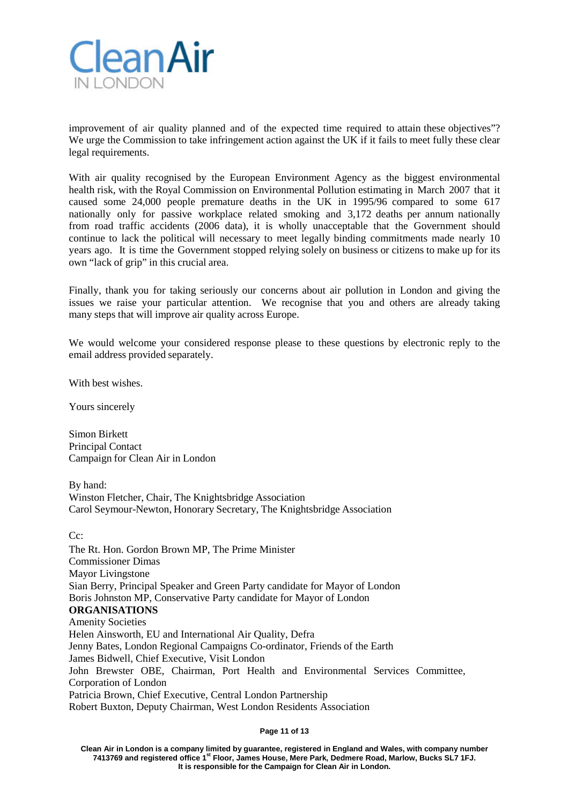

improvement of air quality planned and of the expected time required to attain these objectives"? We urge the Commission to take infringement action against the UK if it fails to meet fully these clear legal requirements.

With air quality recognised by the European Environment Agency as the biggest environmental health risk, with the Royal Commission on Environmental Pollution estimating in March 2007 that it caused some 24,000 people premature deaths in the UK in 1995/96 compared to some 617 nationally only for passive workplace related smoking and 3,172 deaths per annum nationally from road traffic accidents (2006 data), it is wholly unacceptable that the Government should continue to lack the political will necessary to meet legally binding commitments made nearly 10 years ago. It is time the Government stopped relying solely on business or citizens to make up for its own "lack of grip" in this crucial area.

Finally, thank you for taking seriously our concerns about air pollution in London and giving the issues we raise your particular attention. We recognise that you and others are already taking many steps that will improve air quality across Europe.

We would welcome your considered response please to these questions by electronic reply to the email address provided separately.

With best wishes.

Yours sincerely

Simon Birkett Principal Contact Campaign for Clean Air in London

By hand: Winston Fletcher, Chair, The Knightsbridge Association Carol Seymour-Newton, Honorary Secretary, The Knightsbridge Association

C<sub>c</sub>:

The Rt. Hon. Gordon Brown MP, The Prime Minister Commissioner Dimas Mayor Livingstone Sian Berry, Principal Speaker and Green Party candidate for Mayor of London Boris Johnston MP, Conservative Party candidate for Mayor of London **ORGANISATIONS** Amenity Societies Helen Ainsworth, EU and International Air Quality, Defra Jenny Bates, London Regional Campaigns Co-ordinator, Friends of the Earth James Bidwell, Chief Executive, Visit London John Brewster OBE, Chairman, Port Health and Environmental Services Committee, Corporation of London Patricia Brown, Chief Executive, Central London Partnership Robert Buxton, Deputy Chairman, West London Residents Association

**Page 11 of 13**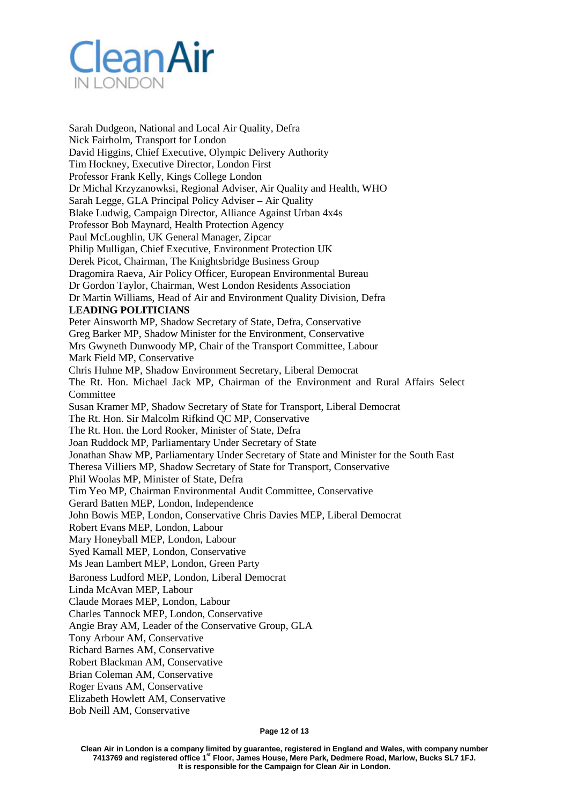

Sarah Dudgeon, National and Local Air Quality, Defra Nick Fairholm, Transport for London David Higgins, Chief Executive, Olympic Delivery Authority Tim Hockney, Executive Director, London First Professor Frank Kelly, Kings College London Dr Michal Krzyzanowksi, Regional Adviser, Air Quality and Health, WHO Sarah Legge, GLA Principal Policy Adviser – Air Quality Blake Ludwig, Campaign Director, Alliance Against Urban 4x4s Professor Bob Maynard, Health Protection Agency Paul McLoughlin, UK General Manager, Zipcar Philip Mulligan, Chief Executive, Environment Protection UK Derek Picot, Chairman, The Knightsbridge Business Group Dragomira Raeva, Air Policy Officer, European Environmental Bureau Dr Gordon Taylor, Chairman, West London Residents Association Dr Martin Williams, Head of Air and Environment Quality Division, Defra **LEADING POLITICIANS** Peter Ainsworth MP, Shadow Secretary of State, Defra, Conservative Greg Barker MP, Shadow Minister for the Environment, Conservative Mrs Gwyneth Dunwoody MP, Chair of the Transport Committee, Labour Mark Field MP, Conservative Chris Huhne MP, Shadow Environment Secretary, Liberal Democrat The Rt. Hon. Michael Jack MP, Chairman of the Environment and Rural Affairs Select **Committee** Susan Kramer MP, Shadow Secretary of State for Transport, Liberal Democrat The Rt. Hon. Sir Malcolm Rifkind QC MP, Conservative The Rt. Hon. the Lord Rooker, Minister of State, Defra Joan Ruddock MP, Parliamentary Under Secretary of State Jonathan Shaw MP, Parliamentary Under Secretary of State and Minister for the South East Theresa Villiers MP, Shadow Secretary of State for Transport, Conservative Phil Woolas MP, Minister of State, Defra Tim Yeo MP, Chairman Environmental Audit Committee, Conservative Gerard Batten MEP, London, Independence John Bowis MEP, London, Conservative Chris Davies MEP, Liberal Democrat Robert Evans MEP, London, Labour Mary Honeyball MEP, London, Labour Syed Kamall MEP, London, Conservative Ms Jean Lambert MEP, London, Green Party Baroness Ludford MEP, London, Liberal Democrat Linda McAvan MEP, Labour Claude Moraes MEP, London, Labour Charles Tannock MEP, London, Conservative Angie Bray AM, Leader of the Conservative Group, GLA Tony Arbour AM, Conservative Richard Barnes AM, Conservative Robert Blackman AM, Conservative Brian Coleman AM, Conservative Roger Evans AM, Conservative Elizabeth Howlett AM, Conservative

Bob Neill AM, Conservative

**Page 12 of 13**